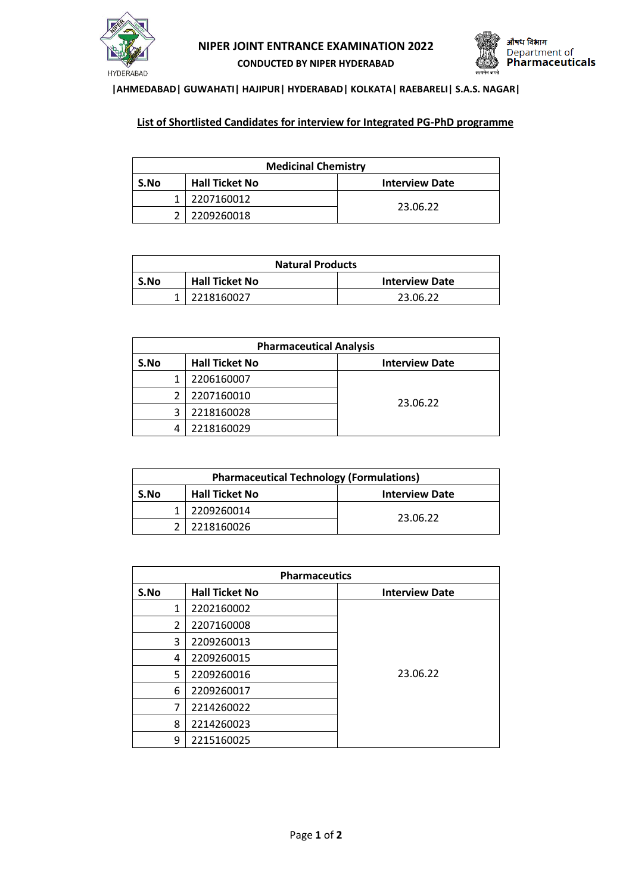



## **|AHMEDABAD| GUWAHATI| HAJIPUR| HYDERABAD| KOLKATA| RAEBARELI| S.A.S. NAGAR|**

## **List of Shortlisted Candidates for interview for Integrated PG-PhD programme**

| <b>Medicinal Chemistry</b> |                       |                       |
|----------------------------|-----------------------|-----------------------|
| S.No                       | <b>Hall Ticket No</b> | <b>Interview Date</b> |
|                            | 2207160012            |                       |
|                            | 2209260018            | 23.06.22              |

| <b>Natural Products</b> |                       |                       |
|-------------------------|-----------------------|-----------------------|
| S.No                    | <b>Hall Ticket No</b> | <b>Interview Date</b> |
|                         | 2218160027            | 23.06.22              |

| <b>Pharmaceutical Analysis</b> |                       |                       |
|--------------------------------|-----------------------|-----------------------|
| S.No                           | <b>Hall Ticket No</b> | <b>Interview Date</b> |
|                                | 2206160007            |                       |
|                                | 2207160010            |                       |
|                                | 2218160028            | 23.06.22              |
|                                | 2218160029            |                       |

| <b>Pharmaceutical Technology (Formulations)</b> |                       |                       |
|-------------------------------------------------|-----------------------|-----------------------|
| S.No                                            | <b>Hall Ticket No</b> | <b>Interview Date</b> |
|                                                 | 2209260014            | 23.06.22              |
|                                                 | 2218160026            |                       |

| <b>Pharmaceutics</b> |                       |                       |
|----------------------|-----------------------|-----------------------|
| S.No                 | <b>Hall Ticket No</b> | <b>Interview Date</b> |
| 1                    | 2202160002            |                       |
| $\overline{2}$       | 2207160008            |                       |
| 3                    | 2209260013            |                       |
| 4                    | 2209260015            |                       |
| 5                    | 2209260016            | 23.06.22              |
| 6                    | 2209260017            |                       |
| 7                    | 2214260022            |                       |
| 8                    | 2214260023            |                       |
| 9                    | 2215160025            |                       |